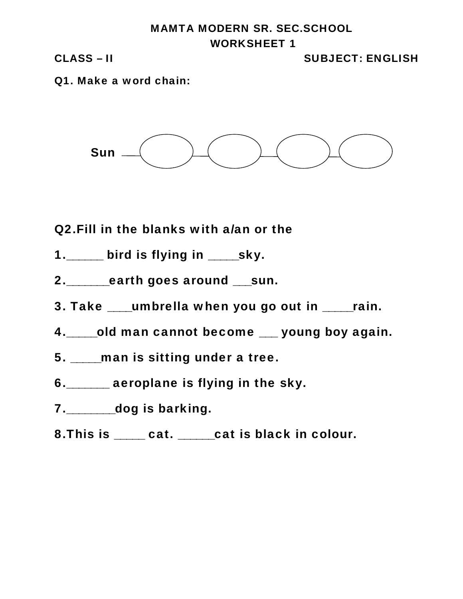## **MAMTA MODERN SR. SEC.SCHOOL WORKSHEET 1**

**CLASS – II SUBJECT: ENGLISH**

**Q1. Make a word chain:**



**Q2.Fill in the blanks with a/an or the**

- **1.\_\_\_\_\_\_ bird is flying in \_\_\_\_\_sky.**
- **2.\_\_\_\_\_\_\_earth goes around \_\_\_sun.**
- **3. Take \_\_\_\_umbrella when you go out in \_\_\_\_\_rain.**
- **4.\_\_\_\_\_old man cannot become \_\_\_ young boy again.**
- **5. \_\_\_\_\_man is sitting under a tree.**
- **6.\_\_\_\_\_\_\_ aeroplane is flying in the sky.**
- **7.\_\_\_\_\_\_\_\_dog is barking.**
- **8.This is \_\_\_\_\_ cat. \_\_\_\_\_\_cat is black in colour.**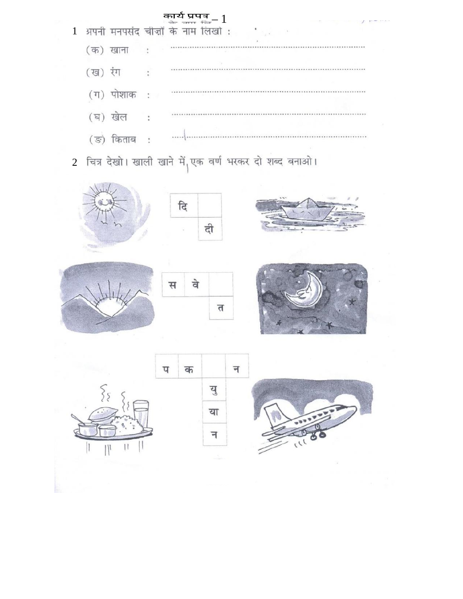

2 चित्र देखो। खाली खाने में<sub>।</sub>एक वर्ण भरकर दो शब्द बनाओ।













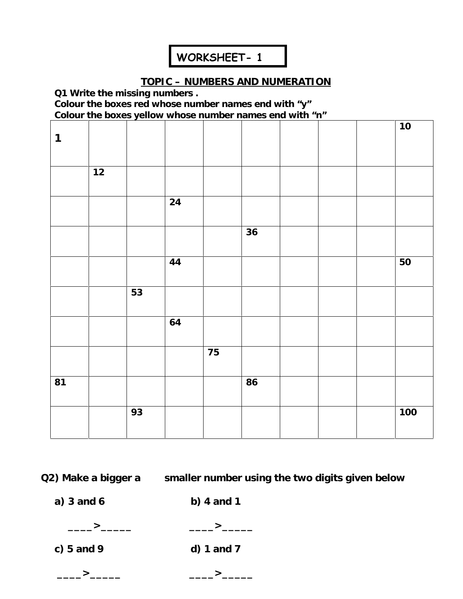## **WORKSHEET- 1**

## **TOPIC – NUMBERS AND NUMERATION**

**Q1 Write the missing numbers .**

**Colour the boxes red whose number names end with "y" Colour the boxes yellow whose number names end with "n"**

|              |    |    |      |    |    |  | 10  |
|--------------|----|----|------|----|----|--|-----|
| $\mathbf{1}$ |    |    |      |    |    |  |     |
|              | 12 |    |      |    |    |  |     |
|              |    |    |      |    |    |  |     |
|              |    |    | 24   |    |    |  |     |
|              |    |    |      |    |    |  |     |
|              |    |    |      |    | 36 |  |     |
|              |    |    | $44$ |    |    |  | 50  |
|              |    |    |      |    |    |  |     |
|              |    | 53 |      |    |    |  |     |
|              |    |    | 64   |    |    |  |     |
|              |    |    |      |    |    |  |     |
|              |    |    |      | 75 |    |  |     |
| 81           |    |    |      |    | 86 |  |     |
|              |    |    |      |    |    |  |     |
|              |    | 93 |      |    |    |  | 100 |
|              |    |    |      |    |    |  |     |

**Q2)** Make a bigger a smaller number using the two digits given below

**a) 3 and 6 b) 4 and 1**

**\_\_\_\_>\_\_\_\_\_ \_\_\_\_>\_\_\_\_\_**

**c) 5 and 9 d) 1 and 7**

**\_\_\_\_>\_\_\_\_\_ \_\_\_\_>\_\_\_\_\_**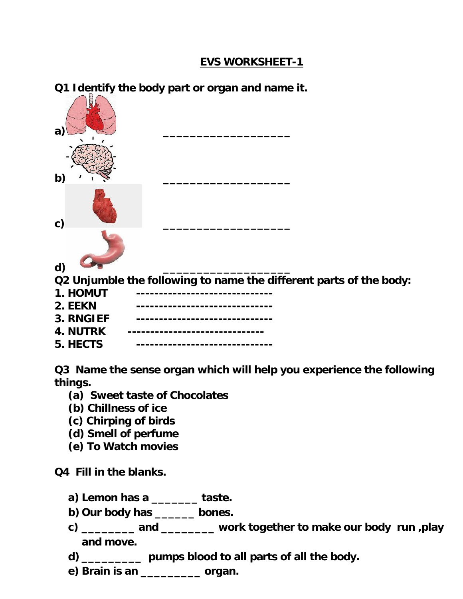## **EVS WORKSHEET-1**

**Q1 Identify the body part or organ and name it.**

| a)             |                                                                    |
|----------------|--------------------------------------------------------------------|
| b)             |                                                                    |
| $\mathsf{C}$ ) |                                                                    |
| d)             |                                                                    |
|                | Q2 Unjumble the following to name the different parts of the body: |
| 1. HOMUT       |                                                                    |
| 2. EEKN        |                                                                    |
| 3. RNGIEF      |                                                                    |
| 4. NUTRK       |                                                                    |
| 5. HECTS       |                                                                    |

**Q3 Name the sense organ which will help you experience the following things.**

- **(a) Sweet taste of Chocolates**
- **(b) Chillness of ice**
- **(c) Chirping of birds**
- **(d) Smell of perfume**
- **(e) To Watch movies**

**Q4 Fill in the blanks.**

- **a) Lemon has a \_\_\_\_\_\_\_ taste.**
- **b) Our body has \_\_\_\_\_\_ bones.**
- **c) \_\_\_\_\_\_\_\_ and \_\_\_\_\_\_\_\_ work together to make our body run ,play and move.**
- **d) \_\_\_\_\_\_\_\_\_ pumps blood to all parts of all the body.**
- **e) Brain is an \_\_\_\_\_\_\_\_\_ organ.**